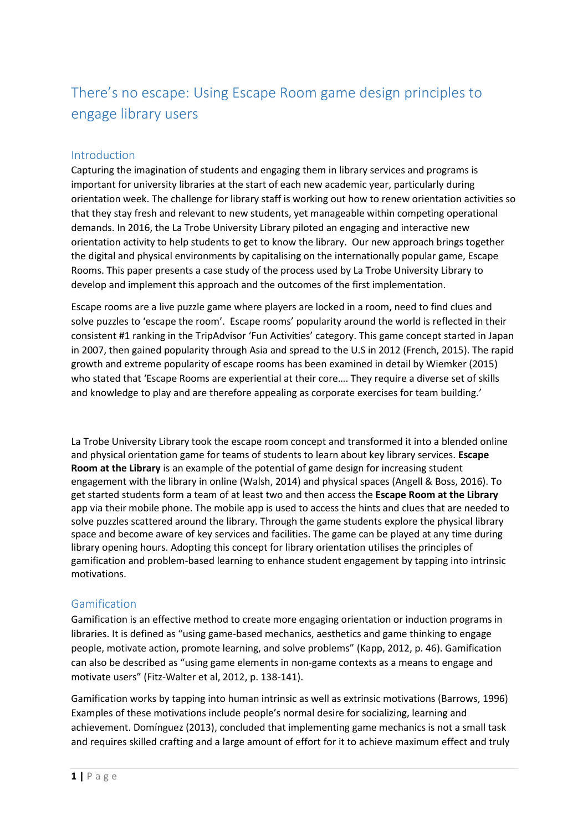# There's no escape: Using Escape Room game design principles to engage library users

## Introduction

Capturing the imagination of students and engaging them in library services and programs is important for university libraries at the start of each new academic year, particularly during orientation week. The challenge for library staff is working out how to renew orientation activities so that they stay fresh and relevant to new students, yet manageable within competing operational demands. In 2016, the La Trobe University Library piloted an engaging and interactive new orientation activity to help students to get to know the library. Our new approach brings together the digital and physical environments by capitalising on the internationally popular game, Escape Rooms. This paper presents a case study of the process used by La Trobe University Library to develop and implement this approach and the outcomes of the first implementation.

Escape rooms are a live puzzle game where players are locked in a room, need to find clues and solve puzzles to 'escape the room'. Escape rooms' popularity around the world is reflected in their consistent #1 ranking in the TripAdvisor 'Fun Activities' category. This game concept started in Japan in 2007, then gained popularity through Asia and spread to the U.S in 2012 (French, 2015). The rapid growth and extreme popularity of escape rooms has been examined in detail by Wiemker (2015) who stated that 'Escape Rooms are experiential at their core…. They require a diverse set of skills and knowledge to play and are therefore appealing as corporate exercises for team building.'

La Trobe University Library took the escape room concept and transformed it into a blended online and physical orientation game for teams of students to learn about key library services. **Escape Room at the Library** is an example of the potential of game design for increasing student engagement with the library in online (Walsh, 2014) and physical spaces (Angell & Boss, 2016). To get started students form a team of at least two and then access the **Escape Room at the Library** app via their mobile phone. The mobile app is used to access the hints and clues that are needed to solve puzzles scattered around the library. Through the game students explore the physical library space and become aware of key services and facilities. The game can be played at any time during library opening hours. Adopting this concept for library orientation utilises the principles of gamification and problem-based learning to enhance student engagement by tapping into intrinsic motivations.

## Gamification

Gamification is an effective method to create more engaging orientation or induction programs in libraries. It is defined as "using game-based mechanics, aesthetics and game thinking to engage people, motivate action, promote learning, and solve problems" (Kapp, 2012, p. 46). Gamification can also be described as "using game elements in non-game contexts as a means to engage and motivate users" (Fitz-Walter et al, 2012, p. 138-141).

Gamification works by tapping into human intrinsic as well as extrinsic motivations (Barrows, 1996) Examples of these motivations include people's normal desire for socializing, learning and achievement. Domínguez (2013), concluded that implementing game mechanics is not a small task and requires skilled crafting and a large amount of effort for it to achieve maximum effect and truly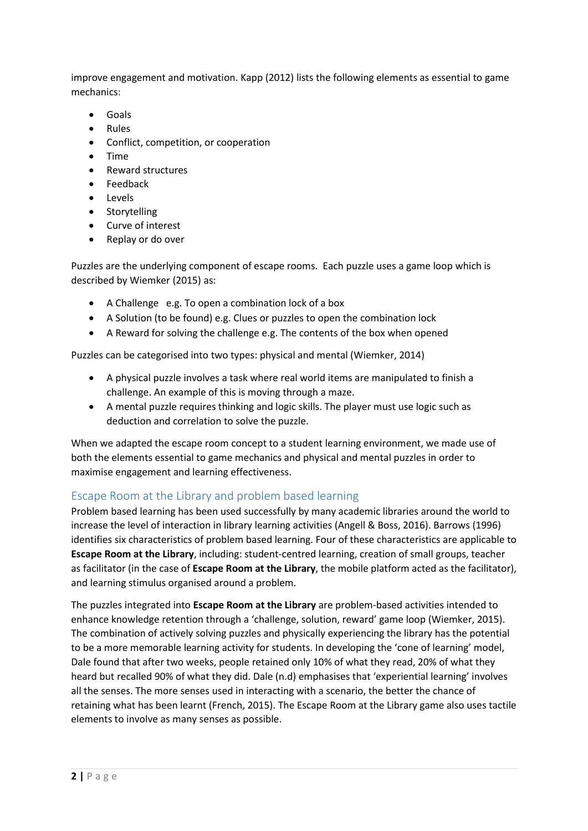improve engagement and motivation. Kapp (2012) lists the following elements as essential to game mechanics:

- Goals
- Rules
- Conflict, competition, or cooperation
- Time
- Reward structures
- Feedback
- Levels
- Storytelling
- Curve of interest
- Replay or do over

Puzzles are the underlying component of escape rooms. Each puzzle uses a game loop which is described by Wiemker (2015) as:

- A Challenge e.g. To open a combination lock of a box
- A Solution (to be found) e.g. Clues or puzzles to open the combination lock
- A Reward for solving the challenge e.g. The contents of the box when opened

Puzzles can be categorised into two types: physical and mental (Wiemker, 2014)

- A physical puzzle involves a task where real world items are manipulated to finish a challenge. An example of this is moving through a maze.
- A mental puzzle requires thinking and logic skills. The player must use logic such as deduction and correlation to solve the puzzle.

When we adapted the escape room concept to a student learning environment, we made use of both the elements essential to game mechanics and physical and mental puzzles in order to maximise engagement and learning effectiveness.

## Escape Room at the Library and problem based learning

Problem based learning has been used successfully by many academic libraries around the world to increase the level of interaction in library learning activities (Angell & Boss, 2016). Barrows (1996) identifies six characteristics of problem based learning. Four of these characteristics are applicable to **Escape Room at the Library**, including: student-centred learning, creation of small groups, teacher as facilitator (in the case of **Escape Room at the Library**, the mobile platform acted as the facilitator), and learning stimulus organised around a problem.

The puzzles integrated into **Escape Room at the Library** are problem-based activities intended to enhance knowledge retention through a 'challenge, solution, reward' game loop (Wiemker, 2015). The combination of actively solving puzzles and physically experiencing the library has the potential to be a more memorable learning activity for students. In developing the 'cone of learning' model, Dale found that after two weeks, people retained only 10% of what they read, 20% of what they heard but recalled 90% of what they did. Dale (n.d) emphasises that 'experiential learning' involves all the senses. The more senses used in interacting with a scenario, the better the chance of retaining what has been learnt (French, 2015). The Escape Room at the Library game also uses tactile elements to involve as many senses as possible.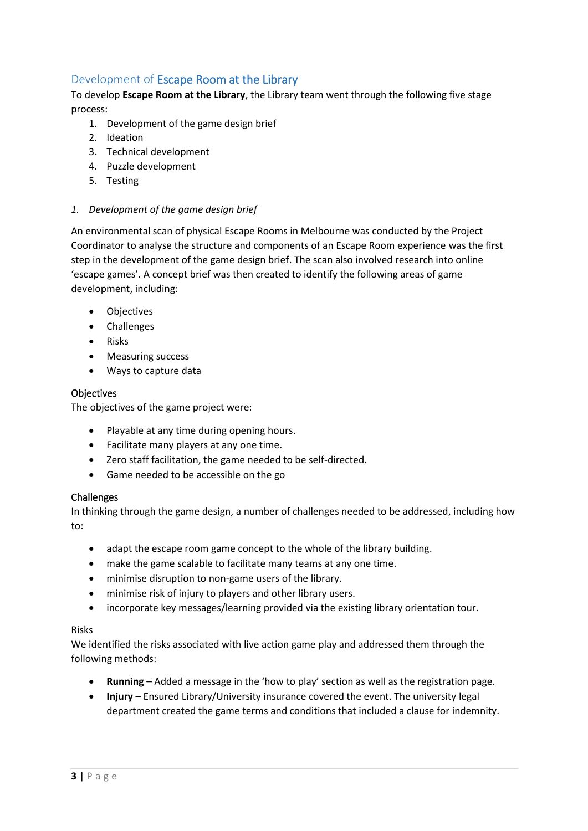## Development of Escape Room at the Library

To develop **Escape Room at the Library**, the Library team went through the following five stage process:

- 1. Development of the game design brief
- 2. Ideation
- 3. Technical development
- 4. Puzzle development
- 5. Testing

#### *1. Development of the game design brief*

An environmental scan of physical Escape Rooms in Melbourne was conducted by the Project Coordinator to analyse the structure and components of an Escape Room experience was the first step in the development of the game design brief. The scan also involved research into online 'escape games'. A concept brief was then created to identify the following areas of game development, including:

- Objectives
- Challenges
- Risks
- Measuring success
- Ways to capture data

#### **Objectives**

The objectives of the game project were:

- Playable at any time during opening hours.
- Facilitate many players at any one time.
- Zero staff facilitation, the game needed to be self-directed.
- Game needed to be accessible on the go

#### Challenges

In thinking through the game design, a number of challenges needed to be addressed, including how to:

- adapt the escape room game concept to the whole of the library building.
- make the game scalable to facilitate many teams at any one time.
- minimise disruption to non-game users of the library.
- minimise risk of injury to players and other library users.
- incorporate key messages/learning provided via the existing library orientation tour.

#### Risks

We identified the risks associated with live action game play and addressed them through the following methods:

- **Running** Added a message in the 'how to play' section as well as the registration page.
- **Injury** Ensured Library/University insurance covered the event. The university legal department created the game terms and conditions that included a clause for indemnity.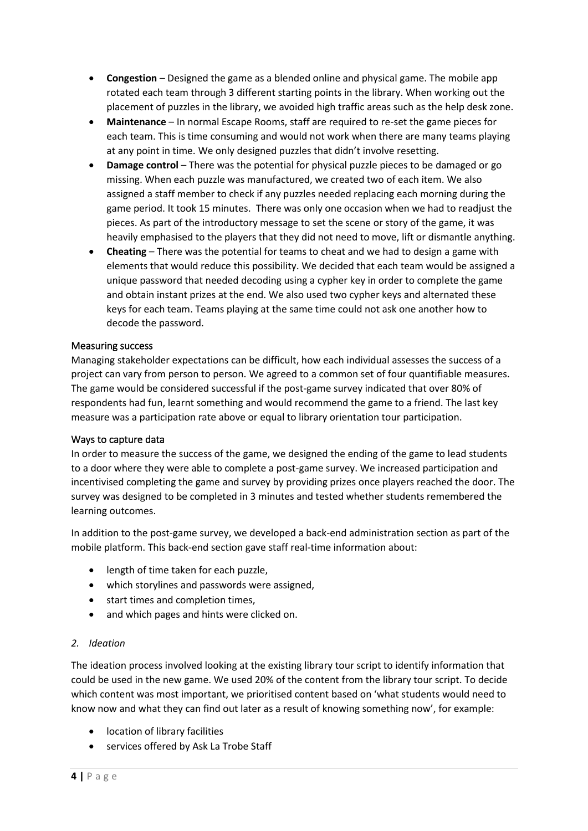- **Congestion** Designed the game as a blended online and physical game. The mobile app rotated each team through 3 different starting points in the library. When working out the placement of puzzles in the library, we avoided high traffic areas such as the help desk zone.
- **Maintenance** In normal Escape Rooms, staff are required to re-set the game pieces for each team. This is time consuming and would not work when there are many teams playing at any point in time. We only designed puzzles that didn't involve resetting.
- **Damage control** There was the potential for physical puzzle pieces to be damaged or go missing. When each puzzle was manufactured, we created two of each item. We also assigned a staff member to check if any puzzles needed replacing each morning during the game period. It took 15 minutes. There was only one occasion when we had to readjust the pieces. As part of the introductory message to set the scene or story of the game, it was heavily emphasised to the players that they did not need to move, lift or dismantle anything.
- **Cheating**  There was the potential for teams to cheat and we had to design a game with elements that would reduce this possibility. We decided that each team would be assigned a unique password that needed decoding using a cypher key in order to complete the game and obtain instant prizes at the end. We also used two cypher keys and alternated these keys for each team. Teams playing at the same time could not ask one another how to decode the password.

#### Measuring success

Managing stakeholder expectations can be difficult, how each individual assesses the success of a project can vary from person to person. We agreed to a common set of four quantifiable measures. The game would be considered successful if the post-game survey indicated that over 80% of respondents had fun, learnt something and would recommend the game to a friend. The last key measure was a participation rate above or equal to library orientation tour participation.

#### Ways to capture data

In order to measure the success of the game, we designed the ending of the game to lead students to a door where they were able to complete a post-game survey. We increased participation and incentivised completing the game and survey by providing prizes once players reached the door. The survey was designed to be completed in 3 minutes and tested whether students remembered the learning outcomes.

In addition to the post-game survey, we developed a back-end administration section as part of the mobile platform. This back-end section gave staff real-time information about:

- length of time taken for each puzzle,
- which storylines and passwords were assigned,
- start times and completion times,
- and which pages and hints were clicked on.

#### *2. Ideation*

The ideation process involved looking at the existing library tour script to identify information that could be used in the new game. We used 20% of the content from the library tour script. To decide which content was most important, we prioritised content based on 'what students would need to know now and what they can find out later as a result of knowing something now', for example:

- location of library facilities
- services offered by Ask La Trobe Staff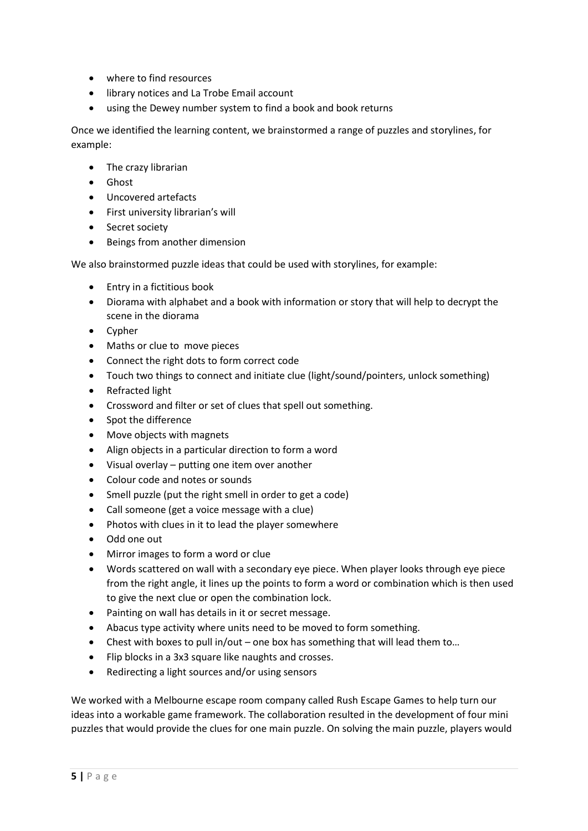- where to find resources
- library notices and La Trobe Email account
- using the Dewey number system to find a book and book returns

Once we identified the learning content, we brainstormed a range of puzzles and storylines, for example:

- The crazy librarian
- Ghost
- Uncovered artefacts
- First university librarian's will
- Secret society
- Beings from another dimension

We also brainstormed puzzle ideas that could be used with storylines, for example:

- Entry in a fictitious book
- Diorama with alphabet and a book with information or story that will help to decrypt the scene in the diorama
- Cypher
- Maths or clue to move pieces
- Connect the right dots to form correct code
- Touch two things to connect and initiate clue (light/sound/pointers, unlock something)
- Refracted light
- Crossword and filter or set of clues that spell out something.
- Spot the difference
- Move objects with magnets
- Align objects in a particular direction to form a word
- Visual overlay putting one item over another
- Colour code and notes or sounds
- Smell puzzle (put the right smell in order to get a code)
- Call someone (get a voice message with a clue)
- Photos with clues in it to lead the player somewhere
- Odd one out
- Mirror images to form a word or clue
- Words scattered on wall with a secondary eye piece. When player looks through eye piece from the right angle, it lines up the points to form a word or combination which is then used to give the next clue or open the combination lock.
- Painting on wall has details in it or secret message.
- Abacus type activity where units need to be moved to form something.
- Chest with boxes to pull in/out one box has something that will lead them to...
- Flip blocks in a 3x3 square like naughts and crosses.
- Redirecting a light sources and/or using sensors

We worked with a Melbourne escape room company called Rush Escape Games to help turn our ideas into a workable game framework. The collaboration resulted in the development of four mini puzzles that would provide the clues for one main puzzle. On solving the main puzzle, players would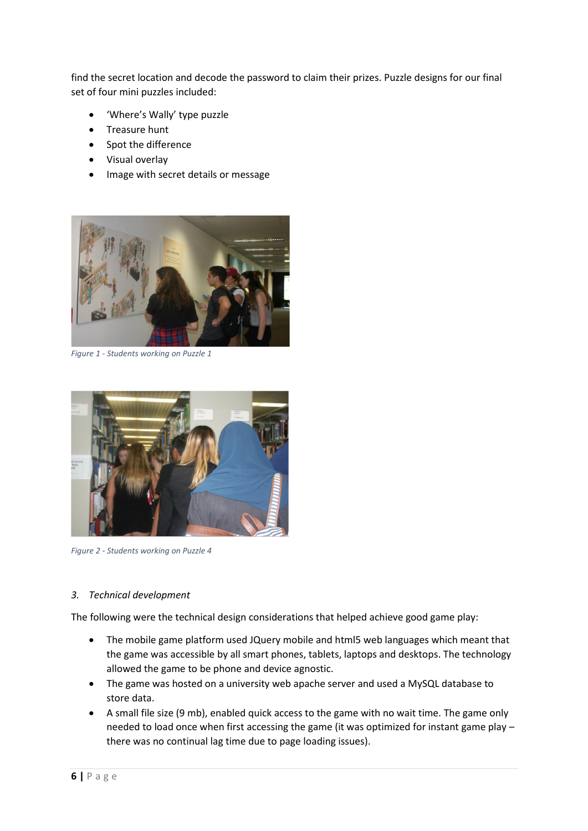find the secret location and decode the password to claim their prizes. Puzzle designs for our final set of four mini puzzles included:

- 'Where's Wally' type puzzle
- Treasure hunt
- Spot the difference
- Visual overlay
- Image with secret details or message



*Figure 1 - Students working on Puzzle 1*



*Figure 2 - Students working on Puzzle 4*

#### *3. Technical development*

The following were the technical design considerations that helped achieve good game play:

- The mobile game platform used JQuery mobile and html5 web languages which meant that the game was accessible by all smart phones, tablets, laptops and desktops. The technology allowed the game to be phone and device agnostic.
- The game was hosted on a university web apache server and used a MySQL database to store data.
- A small file size (9 mb), enabled quick access to the game with no wait time. The game only needed to load once when first accessing the game (it was optimized for instant game play – there was no continual lag time due to page loading issues).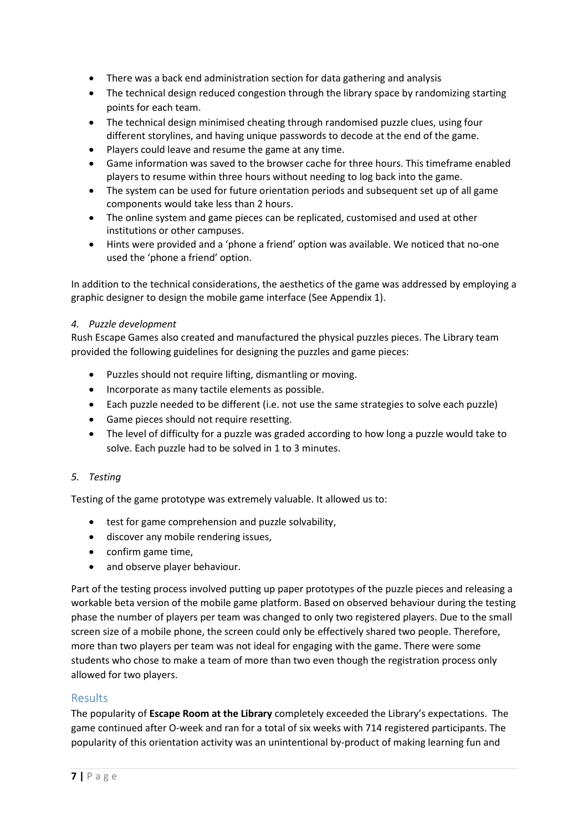- There was a back end administration section for data gathering and analysis
- The technical design reduced congestion through the library space by randomizing starting points for each team.
- The technical design minimised cheating through randomised puzzle clues, using four different storylines, and having unique passwords to decode at the end of the game.
- Players could leave and resume the game at any time.
- Game information was saved to the browser cache for three hours. This timeframe enabled players to resume within three hours without needing to log back into the game.
- The system can be used for future orientation periods and subsequent set up of all game components would take less than 2 hours.
- The online system and game pieces can be replicated, customised and used at other institutions or other campuses.
- Hints were provided and a 'phone a friend' option was available. We noticed that no-one used the 'phone a friend' option.

In addition to the technical considerations, the aesthetics of the game was addressed by employing a graphic designer to design the mobile game interface (See Appendix 1).

#### *4. Puzzle development*

Rush Escape Games also created and manufactured the physical puzzles pieces. The Library team provided the following guidelines for designing the puzzles and game pieces:

- Puzzles should not require lifting, dismantling or moving.
- Incorporate as many tactile elements as possible.
- Each puzzle needed to be different (i.e. not use the same strategies to solve each puzzle)
- Game pieces should not require resetting.
- The level of difficulty for a puzzle was graded according to how long a puzzle would take to solve. Each puzzle had to be solved in 1 to 3 minutes.

#### *5. Testing*

Testing of the game prototype was extremely valuable. It allowed us to:

- test for game comprehension and puzzle solvability,
- discover any mobile rendering issues,
- confirm game time,
- and observe player behaviour.

Part of the testing process involved putting up paper prototypes of the puzzle pieces and releasing a workable beta version of the mobile game platform. Based on observed behaviour during the testing phase the number of players per team was changed to only two registered players. Due to the small screen size of a mobile phone, the screen could only be effectively shared two people. Therefore, more than two players per team was not ideal for engaging with the game. There were some students who chose to make a team of more than two even though the registration process only allowed for two players.

## Results

The popularity of **Escape Room at the Library** completely exceeded the Library's expectations. The game continued after O-week and ran for a total of six weeks with 714 registered participants. The popularity of this orientation activity was an unintentional by-product of making learning fun and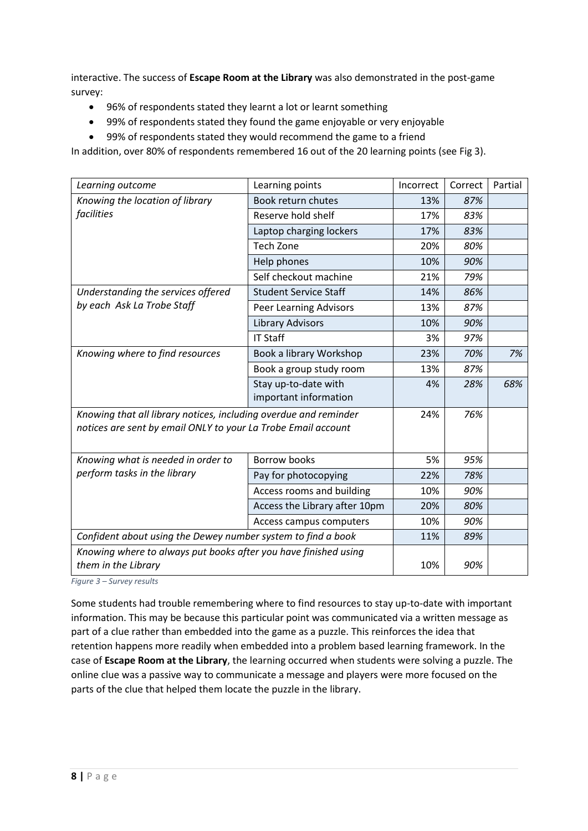interactive. The success of **Escape Room at the Library** was also demonstrated in the post-game survey:

- 96% of respondents stated they learnt a lot or learnt something
- 99% of respondents stated they found the game enjoyable or very enjoyable
- 99% of respondents stated they would recommend the game to a friend

In addition, over 80% of respondents remembered 16 out of the 20 learning points (see Fig 3).

| Learning outcome                                                                                                                  | Learning points                               | Incorrect | Correct | Partial |
|-----------------------------------------------------------------------------------------------------------------------------------|-----------------------------------------------|-----------|---------|---------|
| Knowing the location of library<br>facilities                                                                                     | Book return chutes                            | 13%       | 87%     |         |
|                                                                                                                                   | Reserve hold shelf                            | 17%       | 83%     |         |
|                                                                                                                                   | Laptop charging lockers                       | 17%       | 83%     |         |
|                                                                                                                                   | <b>Tech Zone</b>                              | 20%       | 80%     |         |
|                                                                                                                                   | Help phones                                   | 10%       | 90%     |         |
|                                                                                                                                   | Self checkout machine                         | 21%       | 79%     |         |
| Understanding the services offered<br>by each Ask La Trobe Staff                                                                  | <b>Student Service Staff</b>                  | 14%       | 86%     |         |
|                                                                                                                                   | <b>Peer Learning Advisors</b>                 | 13%       | 87%     |         |
|                                                                                                                                   | <b>Library Advisors</b>                       | 10%       | 90%     |         |
|                                                                                                                                   | <b>IT Staff</b>                               | 3%        | 97%     |         |
| Knowing where to find resources                                                                                                   | Book a library Workshop                       | 23%       | 70%     | 7%      |
|                                                                                                                                   | Book a group study room                       | 13%       | 87%     |         |
|                                                                                                                                   | Stay up-to-date with<br>important information | 4%        | 28%     | 68%     |
|                                                                                                                                   |                                               |           |         |         |
| Knowing that all library notices, including overdue and reminder<br>notices are sent by email ONLY to your La Trobe Email account |                                               | 24%       | 76%     |         |
|                                                                                                                                   |                                               |           |         |         |
| Knowing what is needed in order to<br>perform tasks in the library                                                                | <b>Borrow books</b>                           | 5%        | 95%     |         |
|                                                                                                                                   | Pay for photocopying                          | 22%       | 78%     |         |
|                                                                                                                                   | Access rooms and building                     | 10%       | 90%     |         |
|                                                                                                                                   | Access the Library after 10pm                 | 20%       | 80%     |         |
|                                                                                                                                   | Access campus computers                       | 10%       | 90%     |         |
| Confident about using the Dewey number system to find a book                                                                      |                                               | 11%       | 89%     |         |
| Knowing where to always put books after you have finished using                                                                   |                                               |           |         |         |
| them in the Library                                                                                                               |                                               | 10%       | 90%     |         |

*Figure 3 – Survey results*

Some students had trouble remembering where to find resources to stay up-to-date with important information. This may be because this particular point was communicated via a written message as part of a clue rather than embedded into the game as a puzzle. This reinforces the idea that retention happens more readily when embedded into a problem based learning framework. In the case of **Escape Room at the Library**, the learning occurred when students were solving a puzzle. The online clue was a passive way to communicate a message and players were more focused on the parts of the clue that helped them locate the puzzle in the library.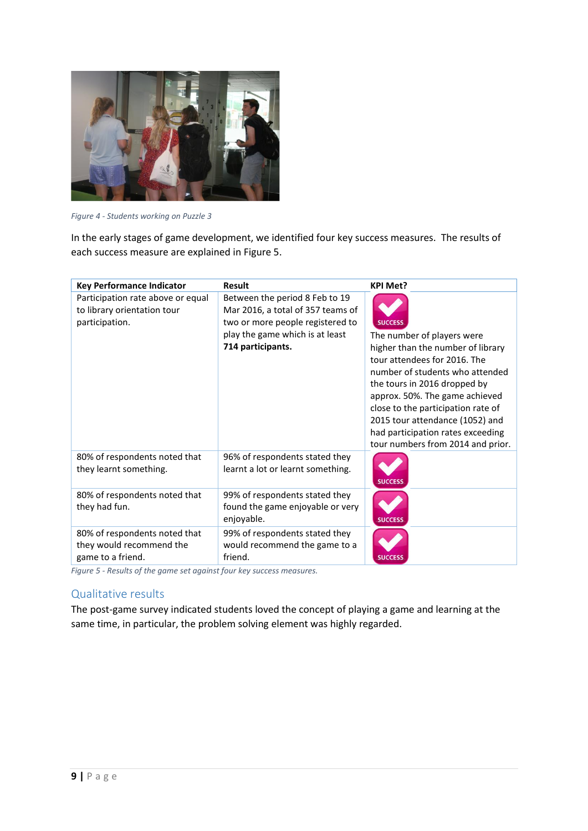

*Figure 4 - Students working on Puzzle 3*

In the early stages of game development, we identified four key success measures. The results of each success measure are explained in Figure 5.

| <b>Key Performance Indicator</b>                                                   | <b>Result</b>                                                                                                                                                   | <b>KPI Met?</b>                                                                                                                                                                                                                                                                                                                                                           |
|------------------------------------------------------------------------------------|-----------------------------------------------------------------------------------------------------------------------------------------------------------------|---------------------------------------------------------------------------------------------------------------------------------------------------------------------------------------------------------------------------------------------------------------------------------------------------------------------------------------------------------------------------|
| Participation rate above or equal<br>to library orientation tour<br>participation. | Between the period 8 Feb to 19<br>Mar 2016, a total of 357 teams of<br>two or more people registered to<br>play the game which is at least<br>714 participants. | <b>SUCCESS</b><br>The number of players were<br>higher than the number of library<br>tour attendees for 2016. The<br>number of students who attended<br>the tours in 2016 dropped by<br>approx. 50%. The game achieved<br>close to the participation rate of<br>2015 tour attendance (1052) and<br>had participation rates exceeding<br>tour numbers from 2014 and prior. |
| 80% of respondents noted that<br>they learnt something.                            | 96% of respondents stated they<br>learnt a lot or learnt something.                                                                                             | <b>SUCCESS</b>                                                                                                                                                                                                                                                                                                                                                            |
| 80% of respondents noted that<br>they had fun.                                     | 99% of respondents stated they<br>found the game enjoyable or very<br>enjoyable.                                                                                | <b>SUCCESS</b>                                                                                                                                                                                                                                                                                                                                                            |
| 80% of respondents noted that<br>they would recommend the<br>game to a friend.     | 99% of respondents stated they<br>would recommend the game to a<br>friend.                                                                                      | <b>SUCCESS</b>                                                                                                                                                                                                                                                                                                                                                            |

*Figure 5 - Results of the game set against four key success measures.*

## Qualitative results

The post-game survey indicated students loved the concept of playing a game and learning at the same time, in particular, the problem solving element was highly regarded.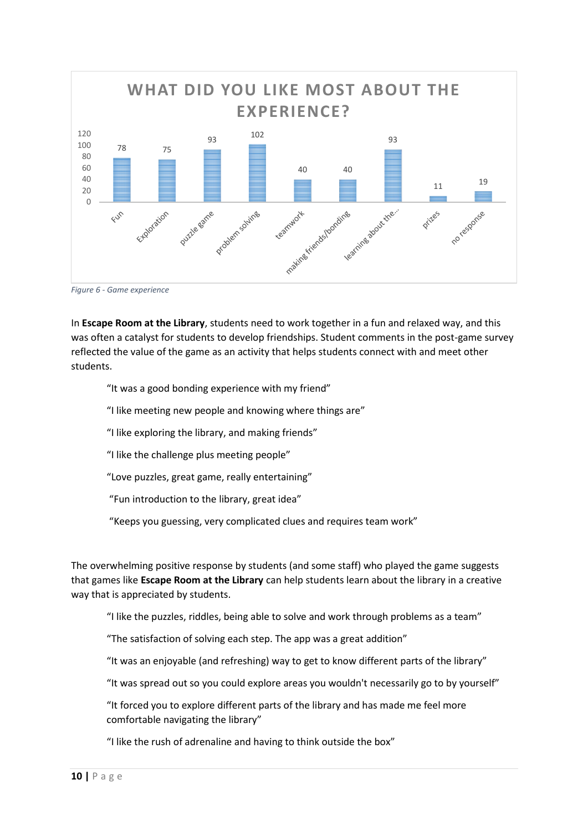

*Figure 6 - Game experience*

In **Escape Room at the Library**, students need to work together in a fun and relaxed way, and this was often a catalyst for students to develop friendships. Student comments in the post-game survey reflected the value of the game as an activity that helps students connect with and meet other students.

"It was a good bonding experience with my friend"

- "I like meeting new people and knowing where things are"
- "I like exploring the library, and making friends"
- "I like the challenge plus meeting people"
- "Love puzzles, great game, really entertaining"
- "Fun introduction to the library, great idea"
- "Keeps you guessing, very complicated clues and requires team work"

The overwhelming positive response by students (and some staff) who played the game suggests that games like **Escape Room at the Library** can help students learn about the library in a creative way that is appreciated by students.

"I like the puzzles, riddles, being able to solve and work through problems as a team"

"The satisfaction of solving each step. The app was a great addition"

"It was an enjoyable (and refreshing) way to get to know different parts of the library"

"It was spread out so you could explore areas you wouldn't necessarily go to by yourself"

"It forced you to explore different parts of the library and has made me feel more comfortable navigating the library"

"I like the rush of adrenaline and having to think outside the box"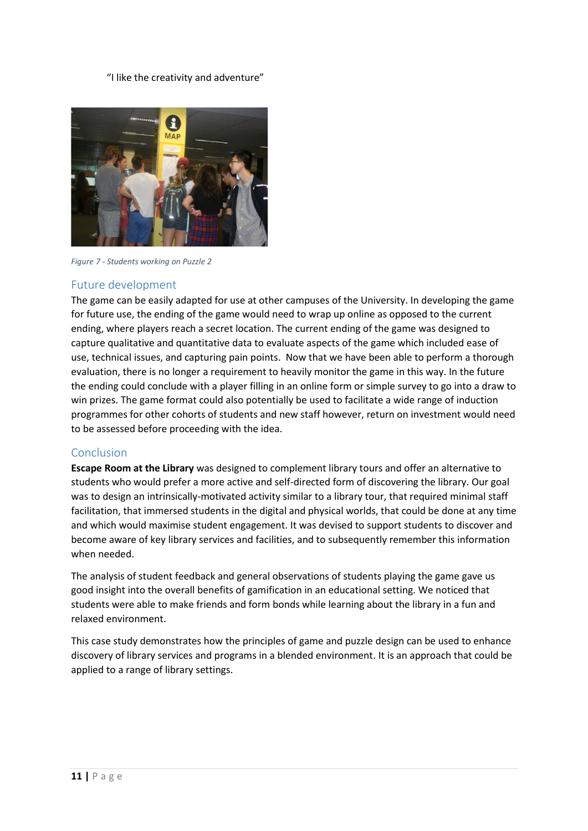#### "I like the creativity and adventure"



*Figure 7 - Students working on Puzzle 2*

## Future development

The game can be easily adapted for use at other campuses of the University. In developing the game for future use, the ending of the game would need to wrap up online as opposed to the current ending, where players reach a secret location. The current ending of the game was designed to capture qualitative and quantitative data to evaluate aspects of the game which included ease of use, technical issues, and capturing pain points. Now that we have been able to perform a thorough evaluation, there is no longer a requirement to heavily monitor the game in this way. In the future the ending could conclude with a player filling in an online form or simple survey to go into a draw to win prizes. The game format could also potentially be used to facilitate a wide range of induction programmes for other cohorts of students and new staff however, return on investment would need to be assessed before proceeding with the idea.

#### Conclusion

**Escape Room at the Library** was designed to complement library tours and offer an alternative to students who would prefer a more active and self-directed form of discovering the library. Our goal was to design an intrinsically-motivated activity similar to a library tour, that required minimal staff facilitation, that immersed students in the digital and physical worlds, that could be done at any time and which would maximise student engagement. It was devised to support students to discover and become aware of key library services and facilities, and to subsequently remember this information when needed.

The analysis of student feedback and general observations of students playing the game gave us good insight into the overall benefits of gamification in an educational setting. We noticed that students were able to make friends and form bonds while learning about the library in a fun and relaxed environment.

This case study demonstrates how the principles of game and puzzle design can be used to enhance discovery of library services and programs in a blended environment. It is an approach that could be applied to a range of library settings.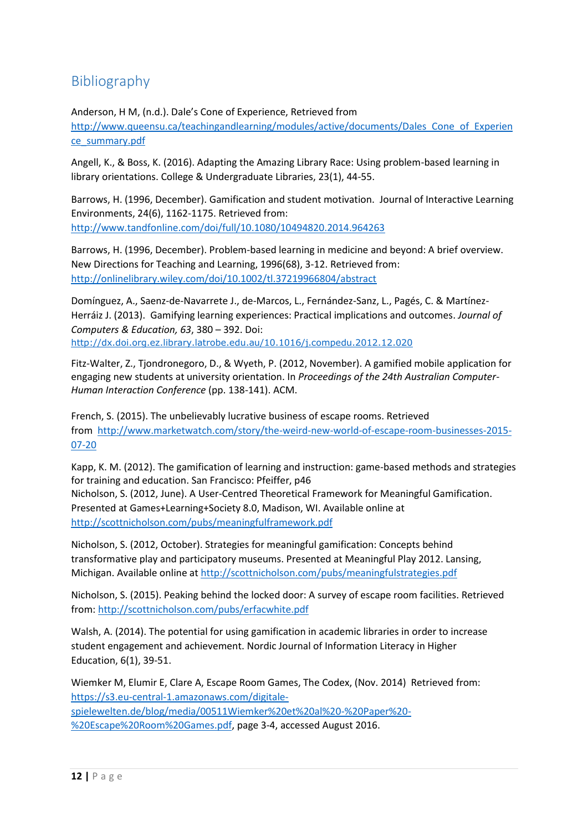## **Bibliography**

Anderson, H M, (n.d.). Dale's Cone of Experience, Retrieved from [http://www.queensu.ca/teachingandlearning/modules/active/documents/Dales\\_Cone\\_of\\_Experien](http://www.queensu.ca/teachingandlearning/modules/active/documents/Dales_Cone_of_Experience_summary.pdf) [ce\\_summary.pdf](http://www.queensu.ca/teachingandlearning/modules/active/documents/Dales_Cone_of_Experience_summary.pdf)

Angell, K., & Boss, K. (2016). Adapting the Amazing Library Race: Using problem-based learning in library orientations. College & Undergraduate Libraries, 23(1), 44-55.

Barrows, H. (1996, December). Gamification and student motivation. Journal of Interactive Learning Environments, 24(6), 1162-1175. Retrieved from: <http://www.tandfonline.com/doi/full/10.1080/10494820.2014.964263>

Barrows, H. (1996, December). Problem-based learning in medicine and beyond: A brief overview. New Directions for Teaching and Learning, 1996(68), 3-12. Retrieved from: <http://onlinelibrary.wiley.com/doi/10.1002/tl.37219966804/abstract>

Domínguez, A., Saenz-de-Navarrete J., de-Marcos, L., Fernández-Sanz, L., Pagés, C. & Martínez-Herráiz J. (2013). Gamifying learning experiences: Practical implications and outcomes. *Journal of Computers & Education, 63*, 380 – 392. Doi: <http://dx.doi.org.ez.library.latrobe.edu.au/10.1016/j.compedu.2012.12.020>

Fitz-Walter, Z., Tjondronegoro, D., & Wyeth, P. (2012, November). A gamified mobile application for engaging new students at university orientation. In *Proceedings of the 24th Australian Computer-Human Interaction Conference* (pp. 138-141). ACM.

French, S. (2015). The unbelievably lucrative business of escape rooms. Retrieved from [http://www.marketwatch.com/story/the-weird-new-world-of-escape-room-businesses-2015-](http://www.marketwatch.com/story/the-weird-new-world-of-escape-room-businesses-2015-07-20) [07-20](http://www.marketwatch.com/story/the-weird-new-world-of-escape-room-businesses-2015-07-20)

Kapp, K. M. (2012). The gamification of learning and instruction: game-based methods and strategies for training and education. San Francisco: Pfeiffer, p46

Nicholson, S. (2012, June). A User-Centred Theoretical Framework for Meaningful Gamification. Presented at Games+Learning+Society 8.0, Madison, WI. Available online at <http://scottnicholson.com/pubs/meaningfulframework.pdf>

Nicholson, S. (2012, October). Strategies for meaningful gamification: Concepts behind transformative play and participatory museums. Presented at Meaningful Play 2012. Lansing, Michigan. Available online at<http://scottnicholson.com/pubs/meaningfulstrategies.pdf>

Nicholson, S. (2015). Peaking behind the locked door: A survey of escape room facilities. Retrieved from:<http://scottnicholson.com/pubs/erfacwhite.pdf>

Walsh, A. (2014). The potential for using gamification in academic libraries in order to increase student engagement and achievement. Nordic Journal of Information Literacy in Higher Education, 6(1), 39-51.

Wiemker M, Elumir E, Clare A, Escape Room Games, The Codex, (Nov. 2014) Retrieved from: [https://s3.eu-central-1.amazonaws.com/digitale](https://s3.eu-central-1.amazonaws.com/digitale-spielewelten.de/blog/media/00511Wiemker%20et%20al%20-%20Paper%20-%20Escape%20Room%20Games.pdf)[spielewelten.de/blog/media/00511Wiemker%20et%20al%20-%20Paper%20-](https://s3.eu-central-1.amazonaws.com/digitale-spielewelten.de/blog/media/00511Wiemker%20et%20al%20-%20Paper%20-%20Escape%20Room%20Games.pdf) [%20Escape%20Room%20Games.pdf,](https://s3.eu-central-1.amazonaws.com/digitale-spielewelten.de/blog/media/00511Wiemker%20et%20al%20-%20Paper%20-%20Escape%20Room%20Games.pdf) page 3-4, accessed August 2016.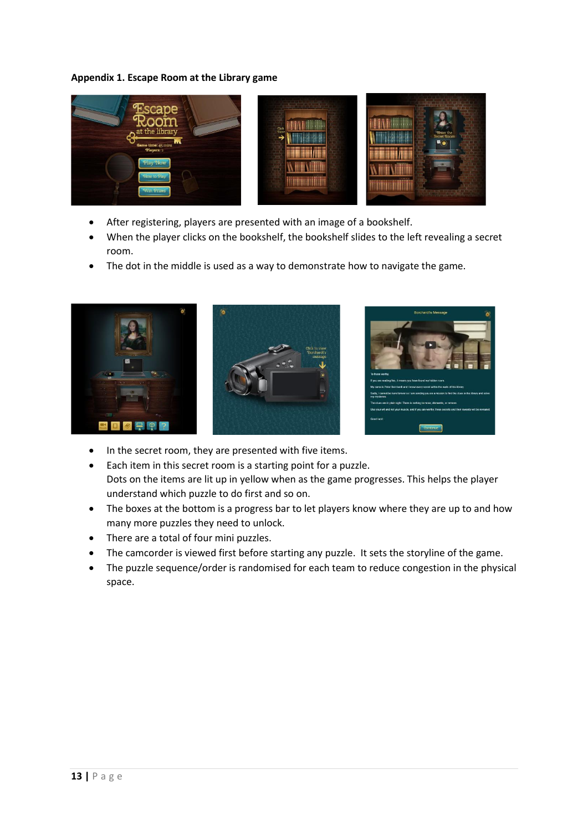#### **Appendix 1. Escape Room at the Library game**



- After registering, players are presented with an image of a bookshelf.
- When the player clicks on the bookshelf, the bookshelf slides to the left revealing a secret room.
- The dot in the middle is used as a way to demonstrate how to navigate the game.



- In the secret room, they are presented with five items.
- Each item in this secret room is a starting point for a puzzle. Dots on the items are lit up in yellow when as the game progresses. This helps the player understand which puzzle to do first and so on.
- The boxes at the bottom is a progress bar to let players know where they are up to and how many more puzzles they need to unlock.
- There are a total of four mini puzzles.
- The camcorder is viewed first before starting any puzzle. It sets the storyline of the game.
- The puzzle sequence/order is randomised for each team to reduce congestion in the physical space.